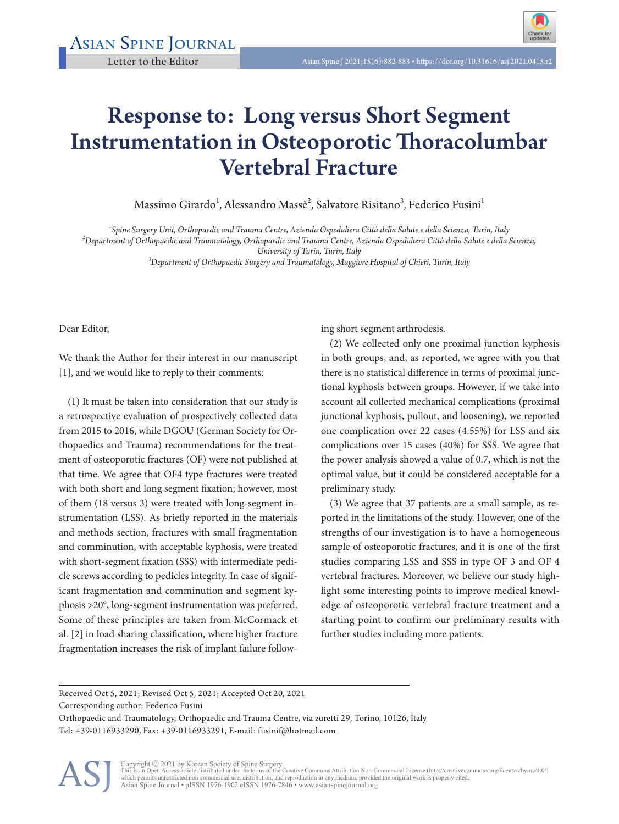

## Response to: Long versus Short Segment Instrumentation in Osteoporotic Thoracolumbar Vertebral Fracture

Massimo Girardo $^1$ , Alessandro Massè $^2$ , Salvatore Risitano $^3$ , Federico Fusini $^1$ 

*1 Spine Surgery Unit, Orthopaedic and Trauma Centre, Azienda Ospedaliera Città della Salute e della Scienza, Turin, Italy <sup>2</sup>*

*Department of Orthopaedic and Traumatology, Orthopaedic and Trauma Centre, Azienda Ospedaliera Città della Salute e della Scienza,* 

*University of Turin, Turin, Italy <sup>3</sup> Department of Orthopaedic Surgery and Traumatology, Maggiore Hospital of Chieri, Turin, Italy*

Dear Editor,

We thank the Author for their interest in our manuscript [1], and we would like to reply to their comments:

(1) It must be taken into consideration that our study is a retrospective evaluation of prospectively collected data from 2015 to 2016, while DGOU (German Society for Orthopaedics and Trauma) recommendations for the treatment of osteoporotic fractures (OF) were not published at that time. We agree that OF4 type fractures were treated with both short and long segment fixation; however, most of them (18 versus 3) were treated with long-segment instrumentation (LSS). As briefly reported in the materials and methods section, fractures with small fragmentation and comminution, with acceptable kyphosis, were treated with short-segment fixation (SSS) with intermediate pedicle screws according to pedicles integrity. In case of significant fragmentation and comminution and segment kyphosis >20°, long-segment instrumentation was preferred. Some of these principles are taken from McCormack et al. [2] in load sharing classification, where higher fracture fragmentation increases the risk of implant failure following short segment arthrodesis.

(2) We collected only one proximal junction kyphosis in both groups, and, as reported, we agree with you that there is no statistical difference in terms of proximal junctional kyphosis between groups. However, if we take into account all collected mechanical complications (proximal junctional kyphosis, pullout, and loosening), we reported one complication over 22 cases (4.55%) for LSS and six complications over 15 cases (40%) for SSS. We agree that the power analysis showed a value of 0.7, which is not the optimal value, but it could be considered acceptable for a preliminary study.

(3) We agree that 37 patients are a small sample, as reported in the limitations of the study. However, one of the strengths of our investigation is to have a homogeneous sample of osteoporotic fractures, and it is one of the first studies comparing LSS and SSS in type OF 3 and OF 4 vertebral fractures. Moreover, we believe our study highlight some interesting points to improve medical knowledge of osteoporotic vertebral fracture treatment and a starting point to confirm our preliminary results with further studies including more patients.

Received Oct 5, 2021; Revised Oct 5, 2021; Accepted Oct 20, 2021

Corresponding author: Federico Fusini

Orthopaedic and Traumatology, Orthopaedic and Trauma Centre, via zuretti 29, Torino, 10126, Italy Tel: +39-0116933290, Fax: +39-0116933291, E-mail: fusinif@hotmail.com



Copyright © 2021 by Korean Society of Spine Surgery<br>This is an Open Access article distributed under the terms of the Creative Commons Attribution Non-Commercial License (http://creativecommons.org/licenses/by-nc/4.0/)<br>whi Asian Spine Journal • pISSN 1976-1902 eISSN 1976-7846 • www.asianspinejournal.org